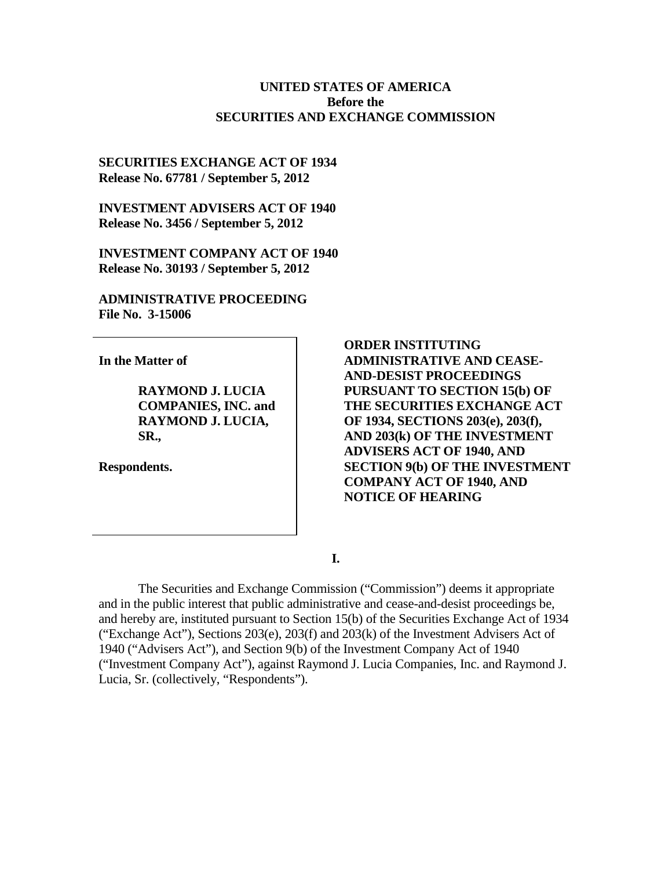#### **UNITED STATES OF AMERICA Before the SECURITIES AND EXCHANGE COMMISSION**

#### **SECURITIES EXCHANGE ACT OF 1934 Release No. 67781 / September 5, 2012**

**INVESTMENT ADVISERS ACT OF 1940 Release No. 3456 / September 5, 2012**

**INVESTMENT COMPANY ACT OF 1940 Release No. 30193 / September 5, 2012**

**ADMINISTRATIVE PROCEEDING File No. 3-15006**

**In the Matter of**

**RAYMOND J. LUCIA COMPANIES, INC. and RAYMOND J. LUCIA, SR.,** 

**Respondents.** 

**ORDER INSTITUTING ADMINISTRATIVE AND CEASE-AND-DESIST PROCEEDINGS PURSUANT TO SECTION 15(b) OF THE SECURITIES EXCHANGE ACT OF 1934, SECTIONS 203(e), 203(f), AND 203(k) OF THE INVESTMENT ADVISERS ACT OF 1940, AND SECTION 9(b) OF THE INVESTMENT COMPANY ACT OF 1940, AND NOTICE OF HEARING**

**I.**

The Securities and Exchange Commission ("Commission") deems it appropriate and in the public interest that public administrative and cease-and-desist proceedings be, and hereby are, instituted pursuant to Section 15(b) of the Securities Exchange Act of 1934 ("Exchange Act"), Sections 203(e), 203(f) and 203(k) of the Investment Advisers Act of 1940 ("Advisers Act"), and Section 9(b) of the Investment Company Act of 1940 ("Investment Company Act"), against Raymond J. Lucia Companies, Inc. and Raymond J. Lucia, Sr. (collectively, "Respondents").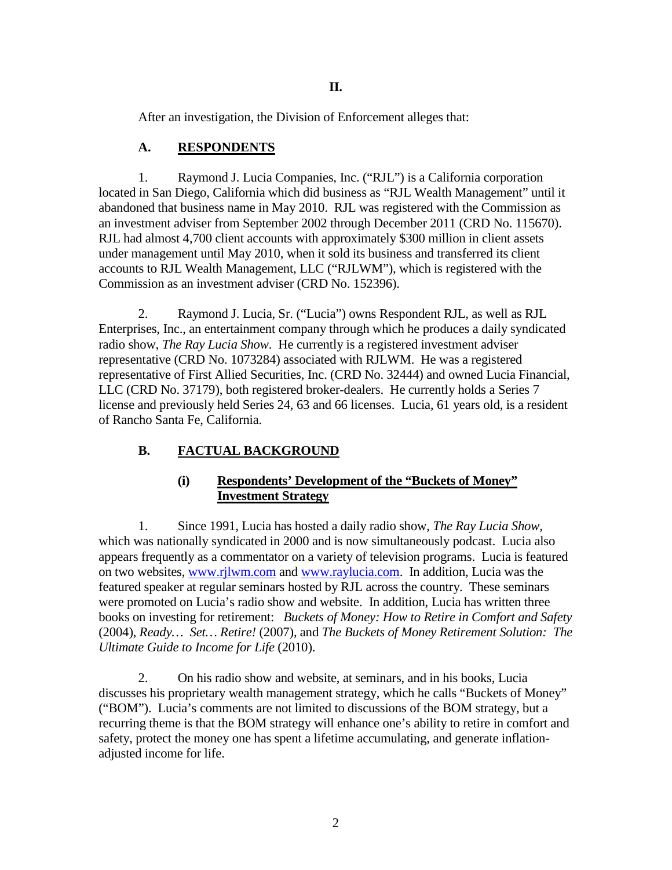After an investigation, the Division of Enforcement alleges that:

## **A. RESPONDENTS**

1. Raymond J. Lucia Companies, Inc. ("RJL") is a California corporation located in San Diego, California which did business as "RJL Wealth Management" until it abandoned that business name in May 2010. RJL was registered with the Commission as an investment adviser from September 2002 through December 2011 (CRD No. 115670). RJL had almost 4,700 client accounts with approximately \$300 million in client assets under management until May 2010, when it sold its business and transferred its client accounts to RJL Wealth Management, LLC ("RJLWM"), which is registered with the Commission as an investment adviser (CRD No. 152396).

2. Raymond J. Lucia, Sr. ("Lucia") owns Respondent RJL, as well as RJL Enterprises, Inc., an entertainment company through which he produces a daily syndicated radio show, *The Ray Lucia Show*. He currently is a registered investment adviser representative (CRD No. 1073284) associated with RJLWM. He was a registered representative of First Allied Securities, Inc. (CRD No. 32444) and owned Lucia Financial, LLC (CRD No. 37179), both registered broker-dealers. He currently holds a Series 7 license and previously held Series 24, 63 and 66 licenses. Lucia, 61 years old, is a resident of Rancho Santa Fe, California.

# **B. FACTUAL BACKGROUND**

## **(i) Respondents' Development of the "Buckets of Money" Investment Strategy**

1. Since 1991, Lucia has hosted a daily radio show, *The Ray Lucia Show,*  which was nationally syndicated in 2000 and is now simultaneously podcast. Lucia also appears frequently as a commentator on a variety of television programs. Lucia is featured on two websites, [www.rjlwm.com](http://www.rjlwm.com/) and [www.raylucia.com.](http://www.raylucia.com/) In addition, Lucia was the featured speaker at regular seminars hosted by RJL across the country. These seminars were promoted on Lucia's radio show and website. In addition, Lucia has written three books on investing for retirement: *Buckets of Money: How to Retire in Comfort and Safety* (2004), *Ready… Set… Retire!* (2007), and *The Buckets of Money Retirement Solution: The Ultimate Guide to Income for Life* (2010).

2. On his radio show and website, at seminars, and in his books, Lucia discusses his proprietary wealth management strategy, which he calls "Buckets of Money" ("BOM"). Lucia's comments are not limited to discussions of the BOM strategy, but a recurring theme is that the BOM strategy will enhance one's ability to retire in comfort and safety, protect the money one has spent a lifetime accumulating, and generate inflationadjusted income for life.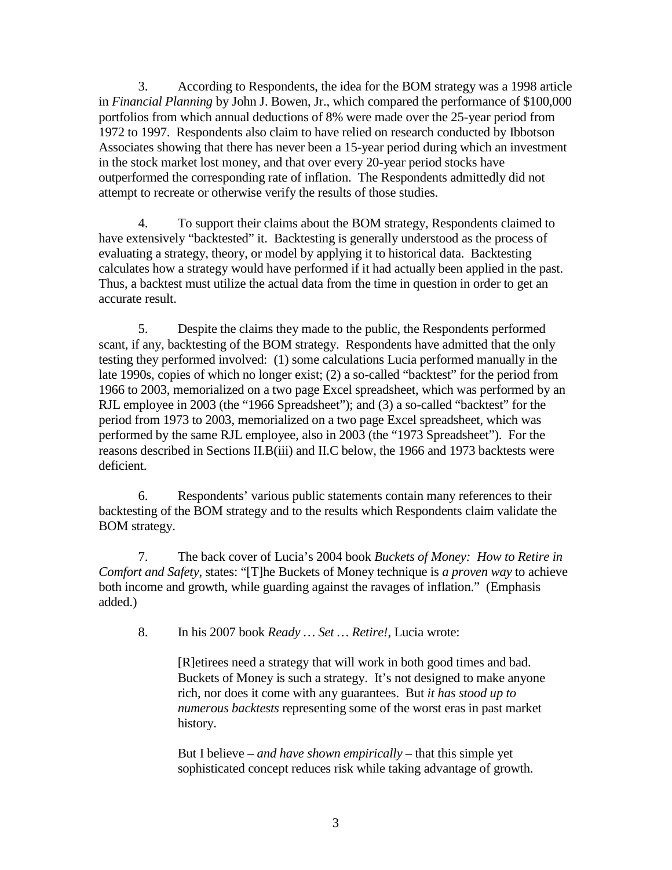3. According to Respondents, the idea for the BOM strategy was a 1998 article in *Financial Planning* by John J. Bowen, Jr., which compared the performance of \$100,000 portfolios from which annual deductions of 8% were made over the 25-year period from 1972 to 1997. Respondents also claim to have relied on research conducted by Ibbotson Associates showing that there has never been a 15-year period during which an investment in the stock market lost money, and that over every 20-year period stocks have outperformed the corresponding rate of inflation. The Respondents admittedly did not attempt to recreate or otherwise verify the results of those studies.

4. To support their claims about the BOM strategy, Respondents claimed to have extensively "backtested" it. Backtesting is generally understood as the process of evaluating a strategy, theory, or model by applying it to historical data. Backtesting calculates how a strategy would have performed if it had actually been applied in the past. Thus, a backtest must utilize the actual data from the time in question in order to get an accurate result.

5. Despite the claims they made to the public, the Respondents performed scant, if any, backtesting of the BOM strategy. Respondents have admitted that the only testing they performed involved: (1) some calculations Lucia performed manually in the late 1990s, copies of which no longer exist; (2) a so-called "backtest" for the period from 1966 to 2003, memorialized on a two page Excel spreadsheet, which was performed by an RJL employee in 2003 (the "1966 Spreadsheet"); and (3) a so-called "backtest" for the period from 1973 to 2003, memorialized on a two page Excel spreadsheet, which was performed by the same RJL employee, also in 2003 (the "1973 Spreadsheet"). For the reasons described in Sections II.B(iii) and II.C below, the 1966 and 1973 backtests were deficient.

6. Respondents' various public statements contain many references to their backtesting of the BOM strategy and to the results which Respondents claim validate the BOM strategy.

7. The back cover of Lucia's 2004 book *Buckets of Money: How to Retire in Comfort and Safety*, states: "[T]he Buckets of Money technique is *a proven way* to achieve both income and growth, while guarding against the ravages of inflation." (Emphasis added.)

8. In his 2007 book *Ready … Set … Retire!*, Lucia wrote:

[R]etirees need a strategy that will work in both good times and bad. Buckets of Money is such a strategy. It's not designed to make anyone rich, nor does it come with any guarantees. But *it has stood up to numerous backtests* representing some of the worst eras in past market history.

But I believe – *and have shown empirically* – that this simple yet sophisticated concept reduces risk while taking advantage of growth.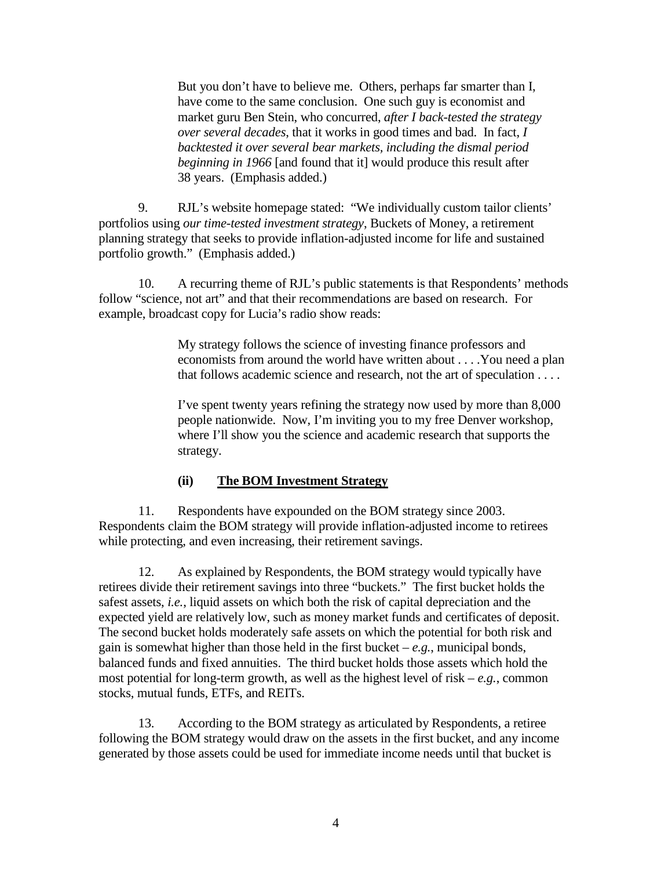But you don't have to believe me. Others, perhaps far smarter than I, have come to the same conclusion. One such guy is economist and market guru Ben Stein, who concurred, *after I back-tested the strategy over several decades*, that it works in good times and bad. In fact, *I backtested it over several bear markets, including the dismal period beginning in 1966* [and found that it] would produce this result after 38 years. (Emphasis added.)

 9. RJL's website homepage stated: "We individually custom tailor clients' portfolios using *our time-tested investment strategy*, Buckets of Money, a retirement planning strategy that seeks to provide inflation-adjusted income for life and sustained portfolio growth." (Emphasis added.)

 10. A recurring theme of RJL's public statements is that Respondents' methods follow "science, not art" and that their recommendations are based on research. For example, broadcast copy for Lucia's radio show reads:

> My strategy follows the science of investing finance professors and economists from around the world have written about . . . .You need a plan that follows academic science and research, not the art of speculation . . . .

 I've spent twenty years refining the strategy now used by more than 8,000 people nationwide. Now, I'm inviting you to my free Denver workshop, where I'll show you the science and academic research that supports the strategy.

#### **(ii) The BOM Investment Strategy**

11. Respondents have expounded on the BOM strategy since 2003. Respondents claim the BOM strategy will provide inflation-adjusted income to retirees while protecting, and even increasing, their retirement savings.

12. As explained by Respondents, the BOM strategy would typically have retirees divide their retirement savings into three "buckets." The first bucket holds the safest assets, *i.e.*, liquid assets on which both the risk of capital depreciation and the expected yield are relatively low, such as money market funds and certificates of deposit. The second bucket holds moderately safe assets on which the potential for both risk and gain is somewhat higher than those held in the first bucket –  $e.g.,$  municipal bonds, balanced funds and fixed annuities. The third bucket holds those assets which hold the most potential for long-term growth, as well as the highest level of risk – *e.g.*, common stocks, mutual funds, ETFs, and REITs.

13. According to the BOM strategy as articulated by Respondents, a retiree following the BOM strategy would draw on the assets in the first bucket, and any income generated by those assets could be used for immediate income needs until that bucket is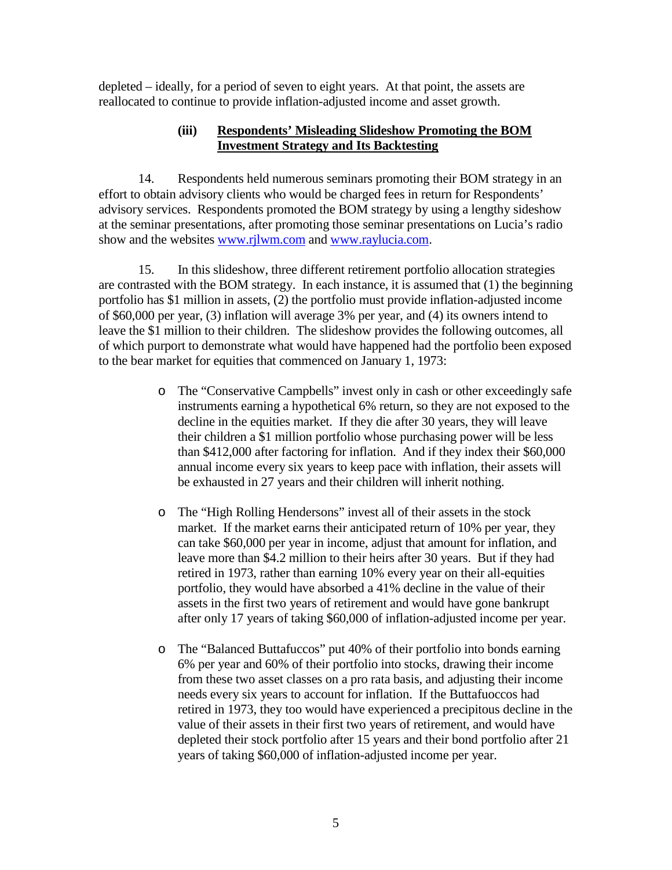depleted – ideally, for a period of seven to eight years. At that point, the assets are reallocated to continue to provide inflation-adjusted income and asset growth.

#### **(iii) Respondents' Misleading Slideshow Promoting the BOM Investment Strategy and Its Backtesting**

14. Respondents held numerous seminars promoting their BOM strategy in an effort to obtain advisory clients who would be charged fees in return for Respondents' advisory services. Respondents promoted the BOM strategy by using a lengthy sideshow at the seminar presentations, after promoting those seminar presentations on Lucia's radio show and the websites [www.rjlwm.com](http://www.rjlwm.com/) and [www.raylucia.com.](http://www.raylucia.com/)

 15. In this slideshow, three different retirement portfolio allocation strategies are contrasted with the BOM strategy. In each instance, it is assumed that (1) the beginning portfolio has \$1 million in assets, (2) the portfolio must provide inflation-adjusted income of \$60,000 per year, (3) inflation will average 3% per year, and (4) its owners intend to leave the \$1 million to their children. The slideshow provides the following outcomes, all of which purport to demonstrate what would have happened had the portfolio been exposed to the bear market for equities that commenced on January 1, 1973:

- o The "Conservative Campbells" invest only in cash or other exceedingly safe instruments earning a hypothetical 6% return, so they are not exposed to the decline in the equities market. If they die after 30 years, they will leave their children a \$1 million portfolio whose purchasing power will be less than \$412,000 after factoring for inflation. And if they index their \$60,000 annual income every six years to keep pace with inflation, their assets will be exhausted in 27 years and their children will inherit nothing.
- o The "High Rolling Hendersons" invest all of their assets in the stock market. If the market earns their anticipated return of 10% per year, they can take \$60,000 per year in income, adjust that amount for inflation, and leave more than \$4.2 million to their heirs after 30 years. But if they had retired in 1973, rather than earning 10% every year on their all-equities portfolio, they would have absorbed a 41% decline in the value of their assets in the first two years of retirement and would have gone bankrupt after only 17 years of taking \$60,000 of inflation-adjusted income per year.
- o The "Balanced Buttafuccos" put 40% of their portfolio into bonds earning 6% per year and 60% of their portfolio into stocks, drawing their income from these two asset classes on a pro rata basis, and adjusting their income needs every six years to account for inflation. If the Buttafuoccos had retired in 1973, they too would have experienced a precipitous decline in the value of their assets in their first two years of retirement, and would have depleted their stock portfolio after 15 years and their bond portfolio after 21 years of taking \$60,000 of inflation-adjusted income per year.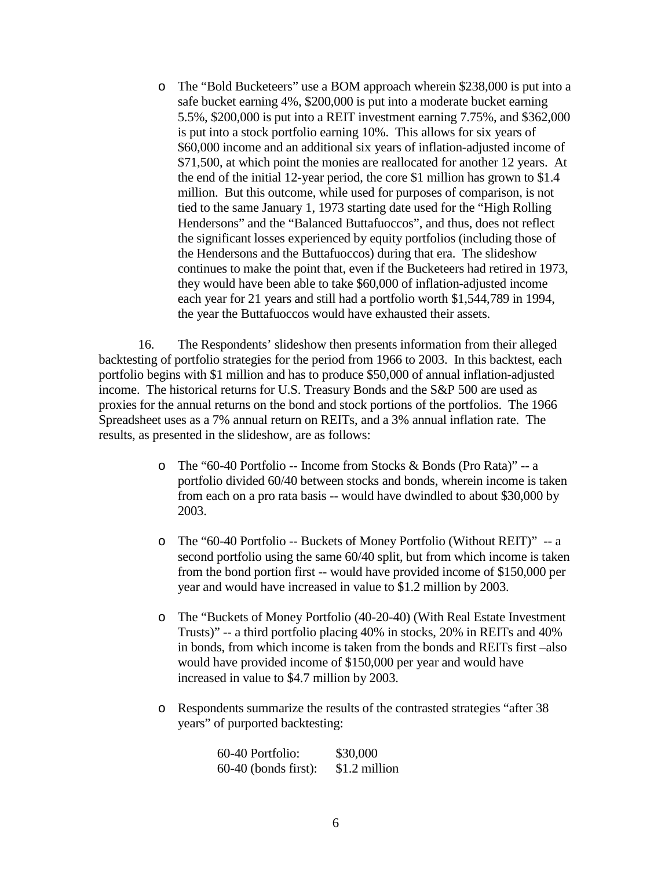o The "Bold Bucketeers" use a BOM approach wherein \$238,000 is put into a safe bucket earning 4%, \$200,000 is put into a moderate bucket earning 5.5%, \$200,000 is put into a REIT investment earning 7.75%, and \$362,000 is put into a stock portfolio earning 10%. This allows for six years of \$60,000 income and an additional six years of inflation-adjusted income of \$71,500, at which point the monies are reallocated for another 12 years. At the end of the initial 12-year period, the core \$1 million has grown to \$1.4 million. But this outcome, while used for purposes of comparison, is not tied to the same January 1, 1973 starting date used for the "High Rolling Hendersons" and the "Balanced Buttafuoccos", and thus, does not reflect the significant losses experienced by equity portfolios (including those of the Hendersons and the Buttafuoccos) during that era. The slideshow continues to make the point that, even if the Bucketeers had retired in 1973, they would have been able to take \$60,000 of inflation-adjusted income each year for 21 years and still had a portfolio worth \$1,544,789 in 1994, the year the Buttafuoccos would have exhausted their assets.

 16. The Respondents' slideshow then presents information from their alleged backtesting of portfolio strategies for the period from 1966 to 2003. In this backtest, each portfolio begins with \$1 million and has to produce \$50,000 of annual inflation-adjusted income. The historical returns for U.S. Treasury Bonds and the S&P 500 are used as proxies for the annual returns on the bond and stock portions of the portfolios. The 1966 Spreadsheet uses as a 7% annual return on REITs, and a 3% annual inflation rate. The results, as presented in the slideshow, are as follows:

- o The "60-40 Portfolio -- Income from Stocks & Bonds (Pro Rata)" -- a portfolio divided 60/40 between stocks and bonds, wherein income is taken from each on a pro rata basis -- would have dwindled to about \$30,000 by 2003.
- o The "60-40 Portfolio -- Buckets of Money Portfolio (Without REIT)" -- a second portfolio using the same 60/40 split, but from which income is taken from the bond portion first -- would have provided income of \$150,000 per year and would have increased in value to \$1.2 million by 2003.
- o The "Buckets of Money Portfolio (40-20-40) (With Real Estate Investment Trusts)" -- a third portfolio placing 40% in stocks, 20% in REITs and 40% in bonds, from which income is taken from the bonds and REITs first –also would have provided income of \$150,000 per year and would have increased in value to \$4.7 million by 2003.
- o Respondents summarize the results of the contrasted strategies "after 38 years" of purported backtesting:

60-40 Portfolio: \$30,000 60-40 (bonds first): \$1.2 million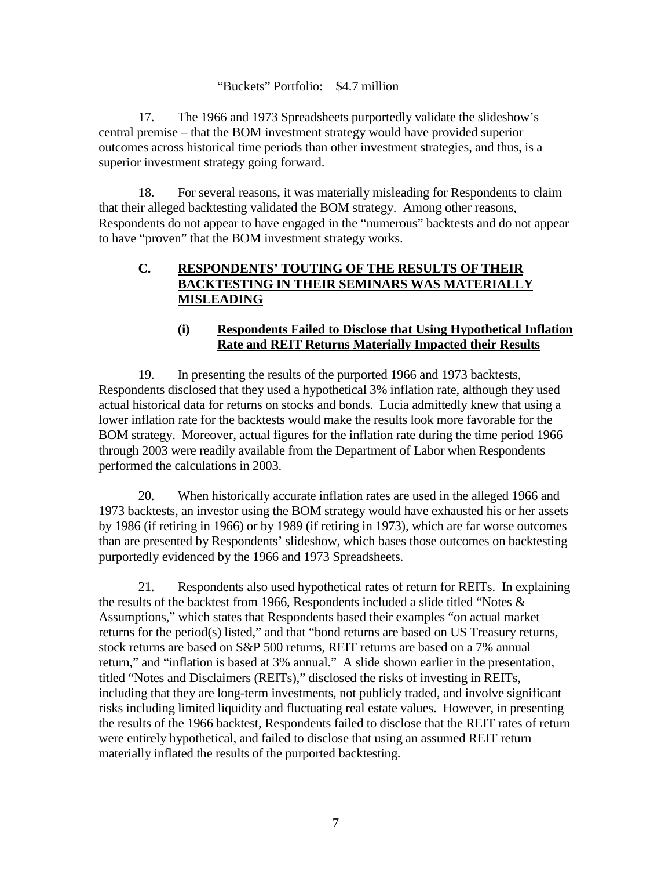#### "Buckets" Portfolio: \$4.7 million

 17. The 1966 and 1973 Spreadsheets purportedly validate the slideshow's central premise – that the BOM investment strategy would have provided superior outcomes across historical time periods than other investment strategies, and thus, is a superior investment strategy going forward.

18. For several reasons, it was materially misleading for Respondents to claim that their alleged backtesting validated the BOM strategy. Among other reasons, Respondents do not appear to have engaged in the "numerous" backtests and do not appear to have "proven" that the BOM investment strategy works.

### **C. RESPONDENTS' TOUTING OF THE RESULTS OF THEIR BACKTESTING IN THEIR SEMINARS WAS MATERIALLY MISLEADING**

### **(i) Respondents Failed to Disclose that Using Hypothetical Inflation Rate and REIT Returns Materially Impacted their Results**

19. In presenting the results of the purported 1966 and 1973 backtests, Respondents disclosed that they used a hypothetical 3% inflation rate, although they used actual historical data for returns on stocks and bonds. Lucia admittedly knew that using a lower inflation rate for the backtests would make the results look more favorable for the BOM strategy. Moreover, actual figures for the inflation rate during the time period 1966 through 2003 were readily available from the Department of Labor when Respondents performed the calculations in 2003.

 20. When historically accurate inflation rates are used in the alleged 1966 and 1973 backtests, an investor using the BOM strategy would have exhausted his or her assets by 1986 (if retiring in 1966) or by 1989 (if retiring in 1973), which are far worse outcomes than are presented by Respondents' slideshow, which bases those outcomes on backtesting purportedly evidenced by the 1966 and 1973 Spreadsheets.

21. Respondents also used hypothetical rates of return for REITs. In explaining the results of the backtest from 1966, Respondents included a slide titled "Notes  $\&$ Assumptions," which states that Respondents based their examples "on actual market returns for the period(s) listed," and that "bond returns are based on US Treasury returns, stock returns are based on S&P 500 returns, REIT returns are based on a 7% annual return," and "inflation is based at 3% annual." A slide shown earlier in the presentation, titled "Notes and Disclaimers (REITs)," disclosed the risks of investing in REITs, including that they are long-term investments, not publicly traded, and involve significant risks including limited liquidity and fluctuating real estate values. However, in presenting the results of the 1966 backtest, Respondents failed to disclose that the REIT rates of return were entirely hypothetical, and failed to disclose that using an assumed REIT return materially inflated the results of the purported backtesting.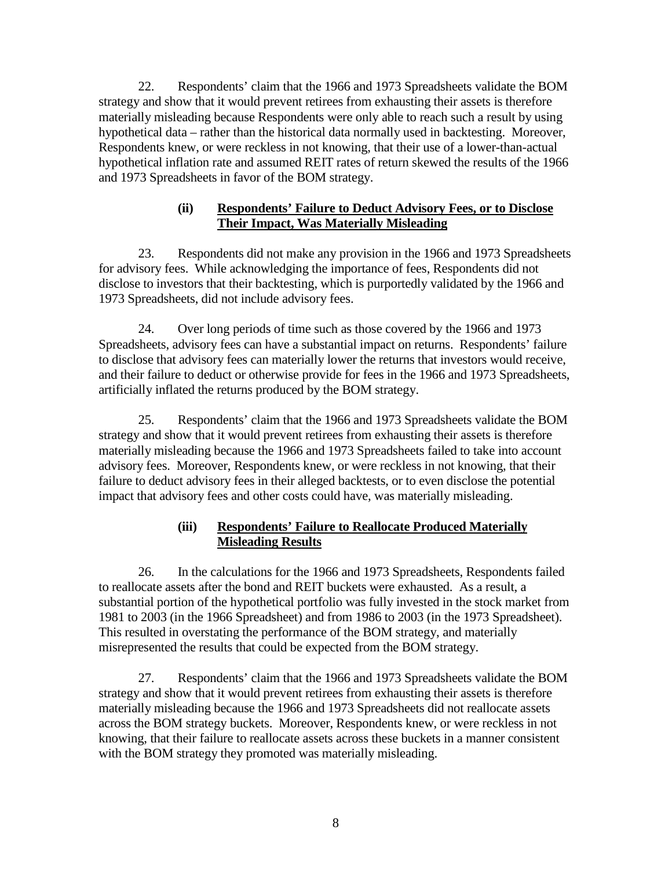22. Respondents' claim that the 1966 and 1973 Spreadsheets validate the BOM strategy and show that it would prevent retirees from exhausting their assets is therefore materially misleading because Respondents were only able to reach such a result by using hypothetical data – rather than the historical data normally used in backtesting. Moreover, Respondents knew, or were reckless in not knowing, that their use of a lower-than-actual hypothetical inflation rate and assumed REIT rates of return skewed the results of the 1966 and 1973 Spreadsheets in favor of the BOM strategy.

#### **(ii) Respondents' Failure to Deduct Advisory Fees, or to Disclose Their Impact, Was Materially Misleading**

 23. Respondents did not make any provision in the 1966 and 1973 Spreadsheets for advisory fees. While acknowledging the importance of fees, Respondents did not disclose to investors that their backtesting, which is purportedly validated by the 1966 and 1973 Spreadsheets, did not include advisory fees.

 24. Over long periods of time such as those covered by the 1966 and 1973 Spreadsheets, advisory fees can have a substantial impact on returns. Respondents' failure to disclose that advisory fees can materially lower the returns that investors would receive, and their failure to deduct or otherwise provide for fees in the 1966 and 1973 Spreadsheets, artificially inflated the returns produced by the BOM strategy.

 25. Respondents' claim that the 1966 and 1973 Spreadsheets validate the BOM strategy and show that it would prevent retirees from exhausting their assets is therefore materially misleading because the 1966 and 1973 Spreadsheets failed to take into account advisory fees. Moreover, Respondents knew, or were reckless in not knowing, that their failure to deduct advisory fees in their alleged backtests, or to even disclose the potential impact that advisory fees and other costs could have, was materially misleading.

## **(iii) Respondents' Failure to Reallocate Produced Materially Misleading Results**

 26. In the calculations for the 1966 and 1973 Spreadsheets, Respondents failed to reallocate assets after the bond and REIT buckets were exhausted. As a result, a substantial portion of the hypothetical portfolio was fully invested in the stock market from 1981 to 2003 (in the 1966 Spreadsheet) and from 1986 to 2003 (in the 1973 Spreadsheet). This resulted in overstating the performance of the BOM strategy, and materially misrepresented the results that could be expected from the BOM strategy.

 27. Respondents' claim that the 1966 and 1973 Spreadsheets validate the BOM strategy and show that it would prevent retirees from exhausting their assets is therefore materially misleading because the 1966 and 1973 Spreadsheets did not reallocate assets across the BOM strategy buckets. Moreover, Respondents knew, or were reckless in not knowing, that their failure to reallocate assets across these buckets in a manner consistent with the BOM strategy they promoted was materially misleading.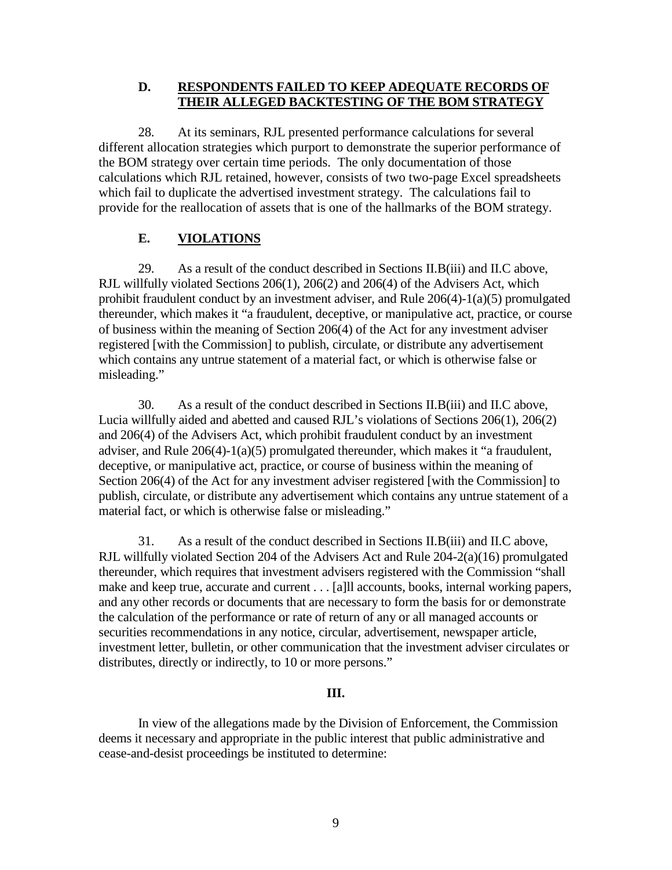#### **D. RESPONDENTS FAILED TO KEEP ADEQUATE RECORDS OF THEIR ALLEGED BACKTESTING OF THE BOM STRATEGY**

28. At its seminars, RJL presented performance calculations for several different allocation strategies which purport to demonstrate the superior performance of the BOM strategy over certain time periods. The only documentation of those calculations which RJL retained, however, consists of two two-page Excel spreadsheets which fail to duplicate the advertised investment strategy. The calculations fail to provide for the reallocation of assets that is one of the hallmarks of the BOM strategy.

# **E. VIOLATIONS**

29. As a result of the conduct described in Sections II.B(iii) and II.C above, RJL willfully violated Sections 206(1), 206(2) and 206(4) of the Advisers Act, which prohibit fraudulent conduct by an investment adviser, and Rule 206(4)-1(a)(5) promulgated thereunder, which makes it "a fraudulent, deceptive, or manipulative act, practice, or course of business within the meaning of Section 206(4) of the Act for any investment adviser registered [with the Commission] to publish, circulate, or distribute any advertisement which contains any untrue statement of a material fact, or which is otherwise false or misleading."

30. As a result of the conduct described in Sections II.B(iii) and II.C above, Lucia willfully aided and abetted and caused RJL's violations of Sections 206(1), 206(2) and 206(4) of the Advisers Act, which prohibit fraudulent conduct by an investment adviser, and Rule 206(4)-1(a)(5) promulgated thereunder, which makes it "a fraudulent, deceptive, or manipulative act, practice, or course of business within the meaning of Section 206(4) of the Act for any investment adviser registered [with the Commission] to publish, circulate, or distribute any advertisement which contains any untrue statement of a material fact, or which is otherwise false or misleading."

31. As a result of the conduct described in Sections II.B(iii) and II.C above, RJL willfully violated Section 204 of the Advisers Act and Rule 204-2(a)(16) promulgated thereunder, which requires that investment advisers registered with the Commission "shall make and keep true, accurate and current . . . [a]ll accounts, books, internal working papers, and any other records or documents that are necessary to form the basis for or demonstrate the calculation of the performance or rate of return of any or all managed accounts or securities recommendations in any notice, circular, advertisement, newspaper article, investment letter, bulletin, or other communication that the investment adviser circulates or distributes, directly or indirectly, to 10 or more persons."

## **III.**

In view of the allegations made by the Division of Enforcement, the Commission deems it necessary and appropriate in the public interest that public administrative and cease-and-desist proceedings be instituted to determine: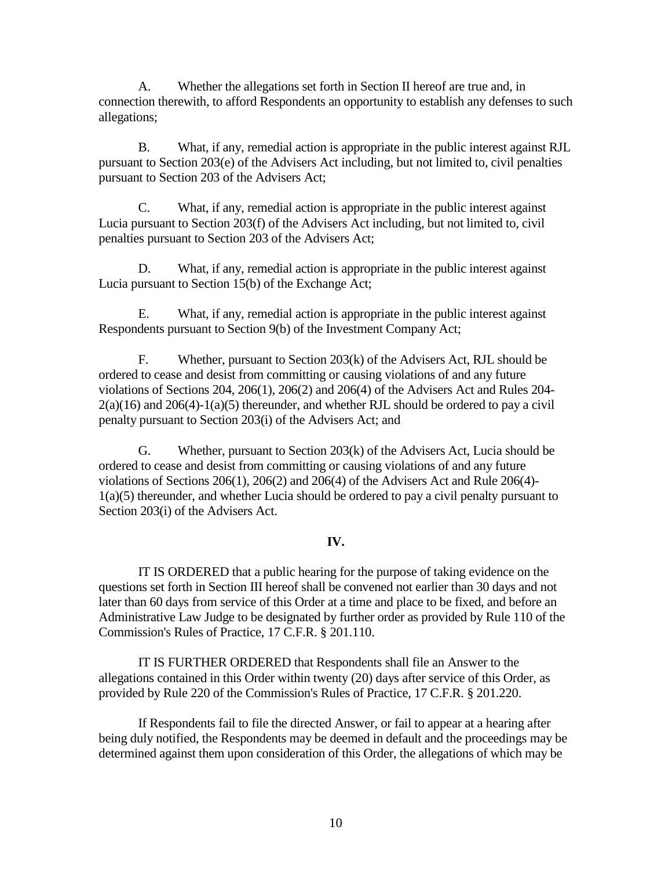A. Whether the allegations set forth in Section II hereof are true and, in connection therewith, to afford Respondents an opportunity to establish any defenses to such allegations;

B. What, if any, remedial action is appropriate in the public interest against RJL pursuant to Section 203(e) of the Advisers Act including, but not limited to, civil penalties pursuant to Section 203 of the Advisers Act;

C. What, if any, remedial action is appropriate in the public interest against Lucia pursuant to Section 203(f) of the Advisers Act including, but not limited to, civil penalties pursuant to Section 203 of the Advisers Act;

D. What, if any, remedial action is appropriate in the public interest against Lucia pursuant to Section 15(b) of the Exchange Act;

E. What, if any, remedial action is appropriate in the public interest against Respondents pursuant to Section 9(b) of the Investment Company Act;

F. Whether, pursuant to Section 203(k) of the Advisers Act, RJL should be ordered to cease and desist from committing or causing violations of and any future violations of Sections 204, 206(1), 206(2) and 206(4) of the Advisers Act and Rules 204-  $2(a)(16)$  and  $206(4)-1(a)(5)$  thereunder, and whether RJL should be ordered to pay a civil penalty pursuant to Section 203(i) of the Advisers Act; and

G. Whether, pursuant to Section 203(k) of the Advisers Act, Lucia should be ordered to cease and desist from committing or causing violations of and any future violations of Sections 206(1), 206(2) and 206(4) of the Advisers Act and Rule 206(4)-  $1(a)(5)$  thereunder, and whether Lucia should be ordered to pay a civil penalty pursuant to Section 203(i) of the Advisers Act.

## **IV.**

IT IS ORDERED that a public hearing for the purpose of taking evidence on the questions set forth in Section III hereof shall be convened not earlier than 30 days and not later than 60 days from service of this Order at a time and place to be fixed, and before an Administrative Law Judge to be designated by further order as provided by Rule 110 of the Commission's Rules of Practice, 17 C.F.R. § 201.110.

IT IS FURTHER ORDERED that Respondents shall file an Answer to the allegations contained in this Order within twenty (20) days after service of this Order, as provided by Rule 220 of the Commission's Rules of Practice, 17 C.F.R. § 201.220.

If Respondents fail to file the directed Answer, or fail to appear at a hearing after being duly notified, the Respondents may be deemed in default and the proceedings may be determined against them upon consideration of this Order, the allegations of which may be